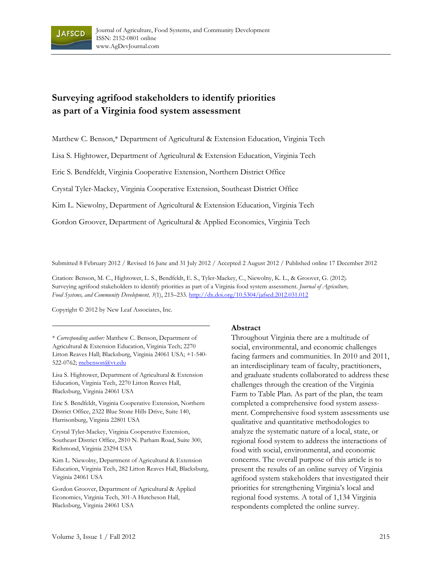

# **Surveying agrifood stakeholders to identify priorities as part of a Virginia food system assessment**

Matthew C. Benson,\* Department of Agricultural & Extension Education, Virginia Tech

Lisa S. Hightower, Department of Agricultural & Extension Education, Virginia Tech

Eric S. Bendfeldt, Virginia Cooperative Extension, Northern District Office

Crystal Tyler-Mackey, Virginia Cooperative Extension, Southeast District Office

Kim L. Niewolny, Department of Agricultural & Extension Education, Virginia Tech

Gordon Groover, Department of Agricultural & Applied Economics, Virginia Tech

Submitted 8 February 2012 / Revised 16 June and 31 July 2012 / Accepted 2 August 2012 / Published online 17 December 2012

Citation: Benson, M. C., Hightower, L. S., Bendfeldt, E. S., Tyler-Mackey, C., Niewolny, K. L., & Groover, G. (2012). Surveying agrifood stakeholders to identify priorities as part of a Virginia food system assessment. *Journal of Agriculture, Food Systems, and Community Development, 3*(1), 215–233. http://dx.doi.org/10.5304/jafscd.2012.031.012

Copyright © 2012 by New Leaf Associates, Inc.

\* *Corresponding author:* Matthew C. Benson, Department of Agricultural & Extension Education, Virginia Tech; 2270 Litton Reaves Hall; Blacksburg, Virginia 24061 USA; +1-540- 522-0762; mcbenson@vt.edu

Lisa S. Hightower, Department of Agricultural & Extension Education, Virginia Tech, 2270 Litton Reaves Hall, Blacksburg, Virginia 24061 USA

Eric S. Bendfeldt, Virginia Cooperative Extension, Northern District Office, 2322 Blue Stone Hills Drive, Suite 140, Harrisonburg, Virginia 22801 USA

Crystal Tyler-Mackey, Virginia Cooperative Extension, Southeast District Office, 2810 N. Parham Road, Suite 300, Richmond, Virginia 23294 USA

Kim L. Niewolny, Department of Agricultural & Extension Education, Virginia Tech, 282 Litton Reaves Hall, Blacksburg, Virginia 24061 USA

Gordon Groover, Department of Agricultural & Applied Economics, Virginia Tech, 301-A Hutcheson Hall, Blacksburg, Virginia 24061 USA

#### **Abstract**

Throughout Virginia there are a multitude of social, environmental, and economic challenges facing farmers and communities. In 2010 and 2011, an interdisciplinary team of faculty, practitioners, and graduate students collaborated to address these challenges through the creation of the Virginia Farm to Table Plan. As part of the plan, the team completed a comprehensive food system assessment. Comprehensive food system assessments use qualitative and quantitative methodologies to analyze the systematic nature of a local, state, or regional food system to address the interactions of food with social, environmental, and economic concerns. The overall purpose of this article is to present the results of an online survey of Virginia agrifood system stakeholders that investigated their priorities for strengthening Virginia's local and regional food systems. A total of 1,134 Virginia respondents completed the online survey.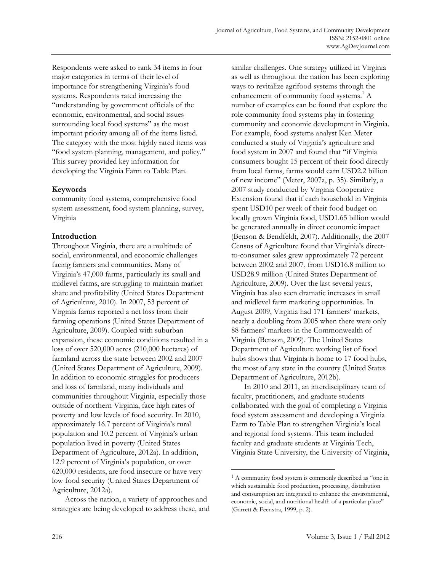Respondents were asked to rank 34 items in four major categories in terms of their level of importance for strengthening Virginia's food systems. Respondents rated increasing the "understanding by government officials of the economic, environmental, and social issues surrounding local food systems" as the most important priority among all of the items listed. The category with the most highly rated items was "food system planning, management, and policy." This survey provided key information for developing the Virginia Farm to Table Plan.

# **Keywords**

community food systems, comprehensive food system assessment, food system planning, survey, Virginia

# **Introduction**

Throughout Virginia, there are a multitude of social, environmental, and economic challenges facing farmers and communities. Many of Virginia's 47,000 farms, particularly its small and midlevel farms, are struggling to maintain market share and profitability (United States Department of Agriculture, 2010). In 2007, 53 percent of Virginia farms reported a net loss from their farming operations (United States Department of Agriculture, 2009). Coupled with suburban expansion, these economic conditions resulted in a loss of over 520,000 acres (210,000 hectares) of farmland across the state between 2002 and 2007 (United States Department of Agriculture, 2009). In addition to economic struggles for producers and loss of farmland, many individuals and communities throughout Virginia, especially those outside of northern Virginia, face high rates of poverty and low levels of food security. In 2010, approximately 16.7 percent of Virginia's rural population and 10.2 percent of Virginia's urban population lived in poverty (United States Department of Agriculture, 2012a). In addition, 12.9 percent of Virginia's population, or over 620,000 residents, are food insecure or have very low food security (United States Department of Agriculture, 2012a).

 Across the nation, a variety of approaches and strategies are being developed to address these, and similar challenges. One strategy utilized in Virginia as well as throughout the nation has been exploring ways to revitalize agrifood systems through the enhancement of community food systems.<sup>1</sup> A number of examples can be found that explore the role community food systems play in fostering community and economic development in Virginia. For example, food systems analyst Ken Meter conducted a study of Virginia's agriculture and food system in 2007 and found that "if Virginia consumers bought 15 percent of their food directly from local farms, farms would earn USD2.2 billion of new income" (Meter, 2007a, p. 35). Similarly, a 2007 study conducted by Virginia Cooperative Extension found that if each household in Virginia spent USD10 per week of their food budget on locally grown Virginia food, USD1.65 billion would be generated annually in direct economic impact (Benson & Bendfeldt, 2007). Additionally, the 2007 Census of Agriculture found that Virginia's directto-consumer sales grew approximately 72 percent between 2002 and 2007, from USD16.8 million to USD28.9 million (United States Department of Agriculture, 2009). Over the last several years, Virginia has also seen dramatic increases in small and midlevel farm marketing opportunities. In August 2009, Virginia had 171 farmers' markets, nearly a doubling from 2005 when there were only 88 farmers' markets in the Commonwealth of Virginia (Benson, 2009). The United States Department of Agriculture working list of food hubs shows that Virginia is home to 17 food hubs, the most of any state in the country (United States Department of Agriculture, 2012b).

 In 2010 and 2011, an interdisciplinary team of faculty, practitioners, and graduate students collaborated with the goal of completing a Virginia food system assessment and developing a Virginia Farm to Table Plan to strengthen Virginia's local and regional food systems. This team included faculty and graduate students at Virginia Tech, Virginia State University, the University of Virginia,

 $\overline{a}$ 

<sup>1</sup> A community food system is commonly described as "one in which sustainable food production, processing, distribution and consumption are integrated to enhance the environmental, economic, social, and nutritional health of a particular place" (Garrett & Feenstra, 1999, p. 2).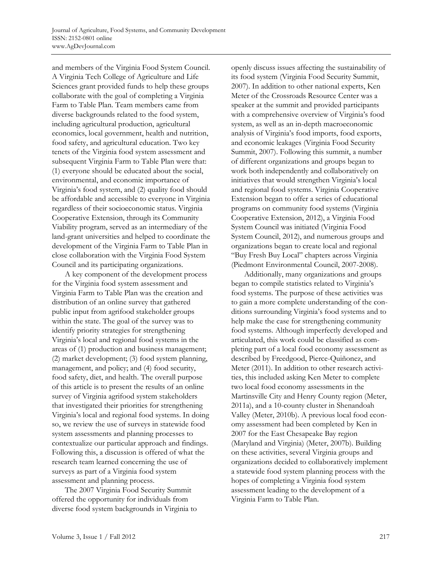and members of the Virginia Food System Council. A Virginia Tech College of Agriculture and Life Sciences grant provided funds to help these groups collaborate with the goal of completing a Virginia Farm to Table Plan. Team members came from diverse backgrounds related to the food system, including agricultural production, agricultural economics, local government, health and nutrition, food safety, and agricultural education. Two key tenets of the Virginia food system assessment and subsequent Virginia Farm to Table Plan were that: (1) everyone should be educated about the social, environmental, and economic importance of Virginia's food system, and (2) quality food should be affordable and accessible to everyone in Virginia regardless of their socioeconomic status. Virginia Cooperative Extension, through its Community Viability program, served as an intermediary of the land-grant universities and helped to coordinate the development of the Virginia Farm to Table Plan in close collaboration with the Virginia Food System Council and its participating organizations.

 A key component of the development process for the Virginia food system assessment and Virginia Farm to Table Plan was the creation and distribution of an online survey that gathered public input from agrifood stakeholder groups within the state. The goal of the survey was to identify priority strategies for strengthening Virginia's local and regional food systems in the areas of (1) production and business management; (2) market development; (3) food system planning, management, and policy; and (4) food security, food safety, diet, and health. The overall purpose of this article is to present the results of an online survey of Virginia agrifood system stakeholders that investigated their priorities for strengthening Virginia's local and regional food systems. In doing so, we review the use of surveys in statewide food system assessments and planning processes to contextualize our particular approach and findings. Following this, a discussion is offered of what the research team learned concerning the use of surveys as part of a Virginia food system assessment and planning process.

 The 2007 Virginia Food Security Summit offered the opportunity for individuals from diverse food system backgrounds in Virginia to openly discuss issues affecting the sustainability of its food system (Virginia Food Security Summit, 2007). In addition to other national experts, Ken Meter of the Crossroads Resource Center was a speaker at the summit and provided participants with a comprehensive overview of Virginia's food system, as well as an in-depth macroeconomic analysis of Virginia's food imports, food exports, and economic leakages (Virginia Food Security Summit, 2007). Following this summit, a number of different organizations and groups began to work both independently and collaboratively on initiatives that would strengthen Virginia's local and regional food systems. Virginia Cooperative Extension began to offer a series of educational programs on community food systems (Virginia Cooperative Extension, 2012), a Virginia Food System Council was initiated (Virginia Food System Council, 2012), and numerous groups and organizations began to create local and regional "Buy Fresh Buy Local" chapters across Virginia (Piedmont Environmental Council, 2007-2008).

 Additionally, many organizations and groups began to compile statistics related to Virginia's food systems. The purpose of these activities was to gain a more complete understanding of the conditions surrounding Virginia's food systems and to help make the case for strengthening community food systems. Although imperfectly developed and articulated, this work could be classified as completing part of a local food economy assessment as described by Freedgood, Pierce-Quiñonez, and Meter (2011). In addition to other research activities, this included asking Ken Meter to complete two local food economy assessments in the Martinsville City and Henry County region (Meter, 2011a), and a 10-county cluster in Shenandoah Valley (Meter, 2010b). A previous local food economy assessment had been completed by Ken in 2007 for the East Chesapeake Bay region (Maryland and Virginia) (Meter, 2007b). Building on these activities, several Virginia groups and organizations decided to collaboratively implement a statewide food system planning process with the hopes of completing a Virginia food system assessment leading to the development of a Virginia Farm to Table Plan.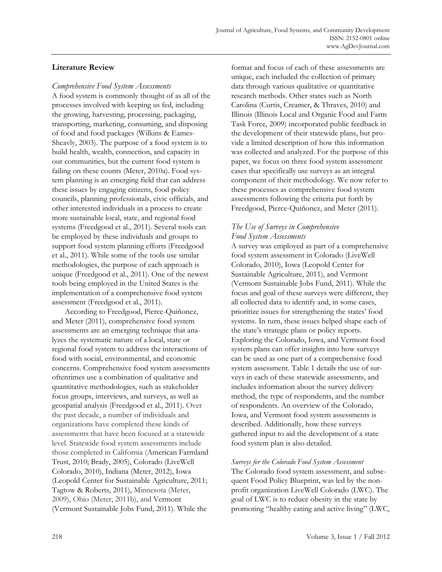## **Literature Review**

#### *Comprehensive Food System Assessments*

A food system is commonly thought of as all of the processes involved with keeping us fed, including the growing, harvesting, processing, packaging, transporting, marketing, consuming, and disposing of food and food packages (Wilkins & Eames-Sheavly, 2003). The purpose of a food system is to build health, wealth, connection, and capacity in our communities, but the current food system is failing on these counts (Meter, 2010a). Food system planning is an emerging field that can address these issues by engaging citizens, food policy councils, planning professionals, civic officials, and other interested individuals in a process to create more sustainable local, state, and regional food systems (Freedgood et al., 2011). Several tools can be employed by these individuals and groups to support food system planning efforts (Freedgood et al., 2011). While some of the tools use similar methodologies, the purpose of each approach is unique (Freedgood et al., 2011). One of the newest tools being employed in the United States is the implementation of a comprehensive food system assessment (Freedgood et al., 2011).

 According to Freedgood, Pierce-Quiñonez, and Meter (2011), comprehensive food system assessments are an emerging technique that analyzes the systematic nature of a local, state or regional food system to address the interactions of food with social, environmental, and economic concerns. Comprehensive food system assessments oftentimes use a combination of qualitative and quantitative methodologies, such as stakeholder focus groups, interviews, and surveys, as well as geospatial analysis (Freedgood et al., 2011). Over the past decade, a number of individuals and organizations have completed these kinds of assessments that have been focused at a statewide level. Statewide food system assessments include those completed in California (American Farmland Trust, 2010; Brady, 2005), Colorado (LiveWell Colorado, 2010), Indiana (Meter, 2012), Iowa (Leopold Center for Sustainable Agriculture, 2011; Tagtow & Roberts, 2011), Minnesota (Meter, 2009), Ohio (Meter, 2011b), and Vermont (Vermont Sustainable Jobs Fund, 2011). While the

format and focus of each of these assessments are unique, each included the collection of primary data through various qualitative or quantitative research methods. Other states such as North Carolina (Curtis, Creamer, & Thraves, 2010) and Illinois (Illinois Local and Organic Food and Farm Task Force, 2009) incorporated public feedback in the development of their statewide plans, but provide a limited description of how this information was collected and analyzed. For the purpose of this paper, we focus on three food system assessment cases that specifically use surveys as an integral component of their methodology. We now refer to these processes as comprehensive food system assessments following the criteria put forth by Freedgood, Pierce-Quiñonez, and Meter (2011).

### *The Use of Surveys in Comprehensive Food System Assessments*

A survey was employed as part of a comprehensive food system assessment in Colorado (LiveWell Colorado, 2010), Iowa (Leopold Center for Sustainable Agriculture, 2011), and Vermont (Vermont Sustainable Jobs Fund, 2011). While the focus and goal of these surveys were different, they all collected data to identify and, in some cases, prioritize issues for strengthening the states' food systems. In turn, these issues helped shape each of the state's strategic plans or policy reports. Exploring the Colorado, Iowa, and Vermont food system plans can offer insights into how surveys can be used as one part of a comprehensive food system assessment. Table 1 details the use of surveys in each of these statewide assessments, and includes information about the survey delivery method, the type of respondents, and the number of respondents. An overview of the Colorado, Iowa, and Vermont food system assessments is described. Additionally, how these surveys gathered input to aid the development of a state food system plan is also detailed.

### *Surveys for the Colorado Food System Assessment*

The Colorado food system assessment, and subsequent Food Policy Blueprint, was led by the nonprofit organization LiveWell Colorado (LWC). The goal of LWC is to reduce obesity in the state by promoting "healthy eating and active living" (LWC,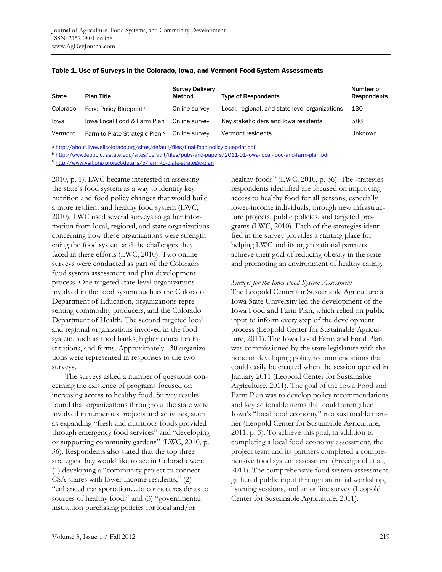| <b>State</b> | <b>Plan Title</b>                           | <b>Survey Delivery</b><br>Method | <b>Type of Respondents</b>                     | Number of<br><b>Respondents</b> |
|--------------|---------------------------------------------|----------------------------------|------------------------------------------------|---------------------------------|
| Colorado     | Food Policy Blueprint <sup>a</sup>          | Online survey                    | Local, regional, and state-level organizations | 130                             |
| lowa         | lowa Local Food & Farm Plan b Online survey |                                  | Key stakeholders and lowa residents            | 586                             |
| Vermont      | Farm to Plate Strategic Plan c              | Online survey                    | Vermont residents                              | Unknown                         |

#### Table 1. Use of Surveys in the Colorado, Iowa, and Vermont Food System Assessments

a http://about.livewellcolorado.org/sites/default/files/final-food-policy-blueprint.pdf

b http://www.leopold.iastate.edu/sites/default/files/pubs-and-papers/2011-01-iowa-local-food-and-farm-plan.pdf

<sup>c</sup> http://www.vsjf.org/project-details/5/farm-to-plate-strategic-plan

2010, p. 1). LWC became interested in assessing the state's food system as a way to identify key nutrition and food policy changes that would build a more resilient and healthy food system (LWC, 2010). LWC used several surveys to gather information from local, regional, and state organizations concerning how these organizations were strengthening the food system and the challenges they faced in these efforts (LWC, 2010). Two online surveys were conducted as part of the Colorado food system assessment and plan development process. One targeted state-level organizations involved in the food system such as the Colorado Department of Education, organizations representing commodity producers, and the Colorado Department of Health. The second targeted local and regional organizations involved in the food system, such as food banks, higher education institutions, and farms. Approximately 130 organizations were represented in responses to the two surveys.

 The surveys asked a number of questions concerning the existence of programs focused on increasing access to healthy food. Survey results found that organizations throughout the state were involved in numerous projects and activities, such as expanding "fresh and nutritious foods provided through emergency food services" and "developing or supporting community gardens" (LWC, 2010, p. 36). Respondents also stated that the top three strategies they would like to see in Colorado were (1) developing a "community project to connect CSA shares with lower-income residents," (2) "enhanced transportation…to connect residents to sources of healthy food," and (3) "governmental institution purchasing policies for local and/or

healthy foods" (LWC, 2010, p. 36). The strategies respondents identified are focused on improving access to healthy food for all persons, especially lower-income individuals, through new infrastructure projects, public policies, and targeted programs (LWC, 2010). Each of the strategies identified in the survey provides a starting place for helping LWC and its organizational partners achieve their goal of reducing obesity in the state and promoting an environment of healthy eating.

#### *Surveys for the Iowa Food System Assessment*

The Leopold Center for Sustainable Agriculture at Iowa State University led the development of the Iowa Food and Farm Plan, which relied on public input to inform every step of the development process (Leopold Center for Sustainable Agriculture, 2011). The Iowa Local Farm and Food Plan was commissioned by the state legislature with the hope of developing policy recommendations that could easily be enacted when the session opened in January 2011 (Leopold Center for Sustainable Agriculture, 2011). The goal of the Iowa Food and Farm Plan was to develop policy recommendations and key actionable items that could strengthen Iowa's "local food economy" in a sustainable manner (Leopold Center for Sustainable Agriculture, 2011, p. 3). To achieve this goal, in addition to completing a local food economy assessment, the project team and its partners completed a comprehensive food system assessment (Freedgood et al., 2011). The comprehensive food system assessment gathered public input through an initial workshop, listening sessions, and an online survey (Leopold Center for Sustainable Agriculture, 2011).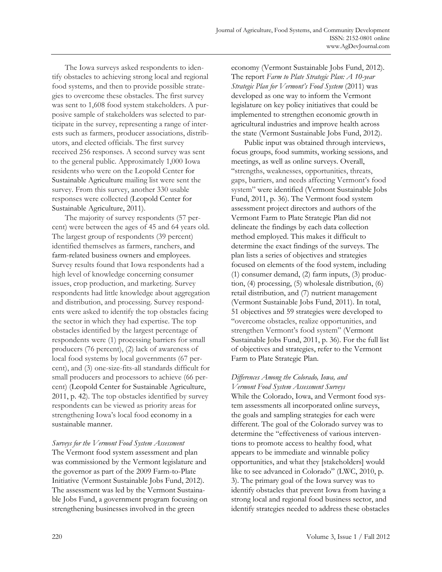The Iowa surveys asked respondents to identify obstacles to achieving strong local and regional food systems, and then to provide possible strategies to overcome these obstacles. The first survey was sent to 1,608 food system stakeholders. A purposive sample of stakeholders was selected to participate in the survey, representing a range of interests such as farmers, producer associations, distributors, and elected officials. The first survey received 256 responses. A second survey was sent to the general public. Approximately 1,000 Iowa residents who were on the Leopold Center for Sustainable Agriculture mailing list were sent the survey. From this survey, another 330 usable responses were collected (Leopold Center for Sustainable Agriculture, 2011).

 The majority of survey respondents (57 percent) were between the ages of 45 and 64 years old. The largest group of respondents (39 percent) identified themselves as farmers, ranchers, and farm-related business owners and employees. Survey results found that Iowa respondents had a high level of knowledge concerning consumer issues, crop production, and marketing. Survey respondents had little knowledge about aggregation and distribution, and processing. Survey respondents were asked to identify the top obstacles facing the sector in which they had expertise. The top obstacles identified by the largest percentage of respondents were (1) processing barriers for small producers (76 percent), (2) lack of awareness of local food systems by local governments (67 percent), and (3) one-size-fits-all standards difficult for small producers and processors to achieve (66 percent) (Leopold Center for Sustainable Agriculture, 2011, p. 42). The top obstacles identified by survey respondents can be viewed as priority areas for strengthening Iowa's local food economy in a sustainable manner.

*Surveys for the Vermont Food System Assessment*  The Vermont food system assessment and plan was commissioned by the Vermont legislature and the governor as part of the 2009 Farm-to-Plate Initiative (Vermont Sustainable Jobs Fund, 2012). The assessment was led by the Vermont Sustainable Jobs Fund, a government program focusing on strengthening businesses involved in the green

economy (Vermont Sustainable Jobs Fund, 2012). The report *Farm to Plate Strategic Plan: A 10-year Strategic Plan for Vermont's Food System* (2011) was developed as one way to inform the Vermont legislature on key policy initiatives that could be implemented to strengthen economic growth in agricultural industries and improve health across the state (Vermont Sustainable Jobs Fund, 2012).

 Public input was obtained through interviews, focus groups, food summits, working sessions, and meetings, as well as online surveys. Overall, "strengths, weaknesses, opportunities, threats, gaps, barriers, and needs affecting Vermont's food system" were identified (Vermont Sustainable Jobs Fund, 2011, p. 36). The Vermont food system assessment project directors and authors of the Vermont Farm to Plate Strategic Plan did not delineate the findings by each data collection method employed. This makes it difficult to determine the exact findings of the surveys. The plan lists a series of objectives and strategies focused on elements of the food system, including (1) consumer demand, (2) farm inputs, (3) production, (4) processing, (5) wholesale distribution, (6) retail distribution, and (7) nutrient management (Vermont Sustainable Jobs Fund, 2011). In total, 51 objectives and 59 strategies were developed to "overcome obstacles, realize opportunities, and strengthen Vermont's food system" (Vermont Sustainable Jobs Fund, 2011, p. 36). For the full list of objectives and strategies, refer to the Vermont Farm to Plate Strategic Plan.

#### *Differences Among the Colorado, Iowa, and Vermont Food System Assessment Surveys*

While the Colorado, Iowa, and Vermont food system assessments all incorporated online surveys, the goals and sampling strategies for each were different. The goal of the Colorado survey was to determine the "effectiveness of various interventions to promote access to healthy food, what appears to be immediate and winnable policy opportunities, and what they [stakeholders] would like to see advanced in Colorado" (LWC, 2010, p. 3). The primary goal of the Iowa survey was to identify obstacles that prevent Iowa from having a strong local and regional food business sector, and identify strategies needed to address these obstacles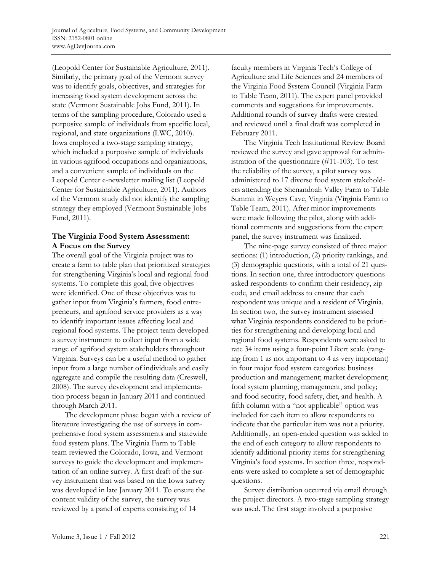(Leopold Center for Sustainable Agriculture, 2011). Similarly, the primary goal of the Vermont survey was to identify goals, objectives, and strategies for increasing food system development across the state (Vermont Sustainable Jobs Fund, 2011). In terms of the sampling procedure, Colorado used a purposive sample of individuals from specific local, regional, and state organizations (LWC, 2010). Iowa employed a two-stage sampling strategy, which included a purposive sample of individuals in various agrifood occupations and organizations, and a convenient sample of individuals on the Leopold Center e-newsletter mailing list (Leopold Center for Sustainable Agriculture, 2011). Authors of the Vermont study did not identify the sampling strategy they employed (Vermont Sustainable Jobs Fund, 2011).

### **The Virginia Food System Assessment: A Focus on the Survey**

The overall goal of the Virginia project was to create a farm to table plan that prioritized strategies for strengthening Virginia's local and regional food systems. To complete this goal, five objectives were identified. One of these objectives was to gather input from Virginia's farmers, food entrepreneurs, and agrifood service providers as a way to identify important issues affecting local and regional food systems. The project team developed a survey instrument to collect input from a wide range of agrifood system stakeholders throughout Virginia. Surveys can be a useful method to gather input from a large number of individuals and easily aggregate and compile the resulting data (Creswell, 2008). The survey development and implementation process began in January 2011 and continued through March 2011.

 The development phase began with a review of literature investigating the use of surveys in comprehensive food system assessments and statewide food system plans. The Virginia Farm to Table team reviewed the Colorado, Iowa, and Vermont surveys to guide the development and implementation of an online survey. A first draft of the survey instrument that was based on the Iowa survey was developed in late January 2011. To ensure the content validity of the survey, the survey was reviewed by a panel of experts consisting of 14

faculty members in Virginia Tech's College of Agriculture and Life Sciences and 24 members of the Virginia Food System Council (Virginia Farm to Table Team, 2011). The expert panel provided comments and suggestions for improvements. Additional rounds of survey drafts were created and reviewed until a final draft was completed in February 2011.

 The Virginia Tech Institutional Review Board reviewed the survey and gave approval for administration of the questionnaire (#11-103). To test the reliability of the survey, a pilot survey was administered to 17 diverse food system stakeholders attending the Shenandoah Valley Farm to Table Summit in Weyers Cave, Virginia (Virginia Farm to Table Team, 2011). After minor improvements were made following the pilot, along with additional comments and suggestions from the expert panel, the survey instrument was finalized.

 The nine-page survey consisted of three major sections: (1) introduction, (2) priority rankings, and (3) demographic questions, with a total of 21 questions. In section one, three introductory questions asked respondents to confirm their residency, zip code, and email address to ensure that each respondent was unique and a resident of Virginia. In section two, the survey instrument assessed what Virginia respondents considered to be priorities for strengthening and developing local and regional food systems. Respondents were asked to rate 34 items using a four-point Likert scale (ranging from 1 as not important to 4 as very important) in four major food system categories: business production and management; market development; food system planning, management, and policy; and food security, food safety, diet, and health. A fifth column with a "not applicable" option was included for each item to allow respondents to indicate that the particular item was not a priority. Additionally, an open-ended question was added to the end of each category to allow respondents to identify additional priority items for strengthening Virginia's food systems. In section three, respondents were asked to complete a set of demographic questions.

 Survey distribution occurred via email through the project directors. A two-stage sampling strategy was used. The first stage involved a purposive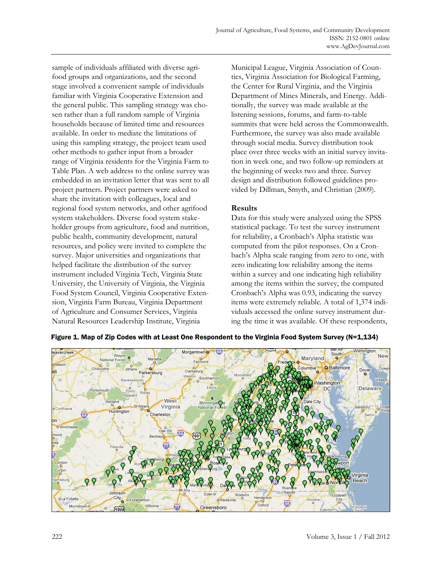sample of individuals affiliated with diverse agrifood groups and organizations, and the second stage involved a convenient sample of individuals familiar with Virginia Cooperative Extension and the general public. This sampling strategy was chosen rather than a full random sample of Virginia households because of limited time and resources available. In order to mediate the limitations of using this sampling strategy, the project team used other methods to gather input from a broader range of Virginia residents for the Virginia Farm to Table Plan. A web address to the online survey was embedded in an invitation letter that was sent to all project partners. Project partners were asked to share the invitation with colleagues, local and regional food system networks, and other agrifood system stakeholders. Diverse food system stakeholder groups from agriculture, food and nutrition, public health, community development, natural resources, and policy were invited to complete the survey. Major universities and organizations that helped facilitate the distribution of the survey instrument included Virginia Tech, Virginia State University, the University of Virginia, the Virginia Food System Council, Virginia Cooperative Extension, Virginia Farm Bureau, Virginia Department of Agriculture and Consumer Services, Virginia Natural Resources Leadership Institute, Virginia

Municipal League, Virginia Association of Counties, Virginia Association for Biological Farming, the Center for Rural Virginia, and the Virginia Department of Mines Minerals, and Energy. Additionally, the survey was made available at the listening sessions, forums, and farm-to-table summits that were held across the Commonwealth. Furthermore, the survey was also made available through social media. Survey distribution took place over three weeks with an initial survey invitation in week one, and two follow-up reminders at the beginning of weeks two and three. Survey design and distribution followed guidelines provided by Dillman, Smyth, and Christian (2009).

### **Results**

Data for this study were analyzed using the SPSS statistical package. To test the survey instrument for reliability, a Cronbach's Alpha statistic was computed from the pilot responses. On a Cronbach's Alpha scale ranging from zero to one, with zero indicating low reliability among the items within a survey and one indicating high reliability among the items within the survey, the computed Cronbach's Alpha was 0.93, indicating the survey items were extremely reliable. A total of 1,374 individuals accessed the online survey instrument during the time it was available. Of these respondents,



Figure 1. Map of Zip Codes with at Least One Respondent to the Virginia Food System Survey (N=1,134)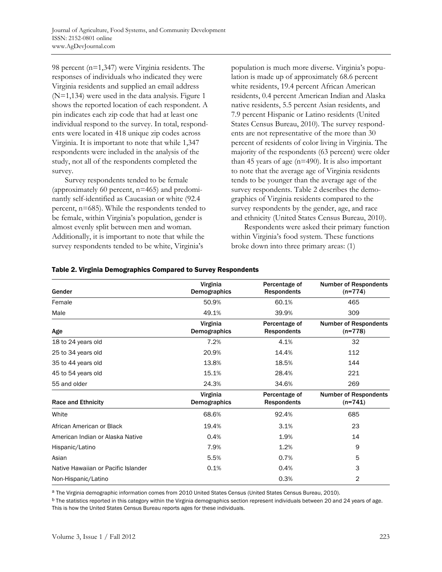98 percent (n=1,347) were Virginia residents. The responses of individuals who indicated they were Virginia residents and supplied an email address (N=1,134) were used in the data analysis. Figure 1 shows the reported location of each respondent. A pin indicates each zip code that had at least one individual respond to the survey. In total, respondents were located in 418 unique zip codes across Virginia. It is important to note that while 1,347 respondents were included in the analysis of the study, not all of the respondents completed the survey.

 Survey respondents tended to be female (approximately 60 percent, n=465) and predominantly self-identified as Caucasian or white (92.4 percent, n=685). While the respondents tended to be female, within Virginia's population, gender is almost evenly split between men and woman. Additionally, it is important to note that while the survey respondents tended to be white, Virginia's

population is much more diverse. Virginia's population is made up of approximately 68.6 percent white residents, 19.4 percent African American residents, 0.4 percent American Indian and Alaska native residents, 5.5 percent Asian residents, and 7.9 percent Hispanic or Latino residents (United States Census Bureau, 2010). The survey respondents are not representative of the more than 30 percent of residents of color living in Virginia. The majority of the respondents (63 percent) were older than 45 years of age  $(n=490)$ . It is also important to note that the average age of Virginia residents tends to be younger than the average age of the survey respondents. Table 2 describes the demographics of Virginia residents compared to the survey respondents by the gender, age, and race and ethnicity (United States Census Bureau, 2010).

 Respondents were asked their primary function within Virginia's food system. These functions broke down into three primary areas: (1)

| Gender                              | Virginia<br>Demographics | Percentage of<br><b>Respondents</b> | <b>Number of Respondents</b><br>$(n=774)$ |
|-------------------------------------|--------------------------|-------------------------------------|-------------------------------------------|
| Female                              | 50.9%                    | 60.1%                               | 465                                       |
| Male                                | 49.1%                    | 39.9%                               | 309                                       |
| Age                                 | Virginia<br>Demographics | Percentage of<br><b>Respondents</b> | <b>Number of Respondents</b><br>$(n=778)$ |
| 18 to 24 years old                  | 7.2%                     | 4.1%                                | 32                                        |
| 25 to 34 years old                  | 20.9%                    | 14.4%                               | 112                                       |
| 35 to 44 years old                  | 13.8%                    | 18.5%                               | 144                                       |
| 45 to 54 years old                  | 15.1%                    | 28.4%                               | 221                                       |
| 55 and older                        | 24.3%                    | 34.6%                               | 269                                       |
| <b>Race and Ethnicity</b>           | Virginia<br>Demographics | Percentage of<br><b>Respondents</b> | <b>Number of Respondents</b><br>$(n=741)$ |
| White                               | 68.6%                    | 92.4%                               | 685                                       |
| African American or Black           | 19.4%                    | 3.1%                                | 23                                        |
| American Indian or Alaska Native    | 0.4%                     | 1.9%                                | 14                                        |
| Hispanic/Latino                     | 7.9%                     | 1.2%                                | 9                                         |
| Asian                               | 5.5%                     | 0.7%                                | 5                                         |
| Native Hawaiian or Pacific Islander | 0.1%                     | 0.4%                                | 3                                         |
| Non-Hispanic/Latino                 |                          | 0.3%                                | 2                                         |

#### Table 2. Virginia Demographics Compared to Survey Respondents

a The Virginia demographic information comes from 2010 United States Census (United States Census Bureau, 2010).

 $b$  The statistics reported in this category within the Virginia demographics section represent individuals between 20 and 24 years of age. This is how the United States Census Bureau reports ages for these individuals.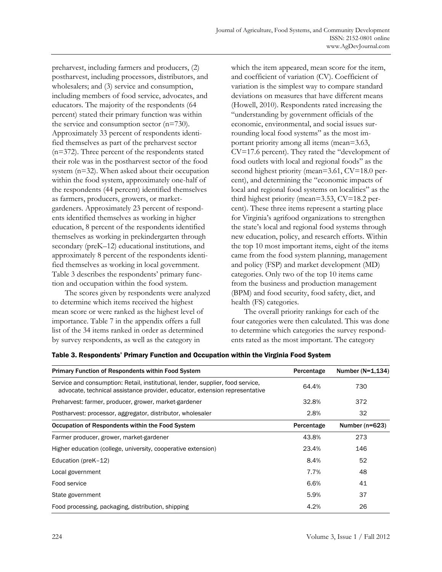preharvest, including farmers and producers, (2) postharvest, including processors, distributors, and wholesalers; and (3) service and consumption, including members of food service, advocates, and educators. The majority of the respondents (64 percent) stated their primary function was within the service and consumption sector (n=730). Approximately 33 percent of respondents identified themselves as part of the preharvest sector (n=372). Three percent of the respondents stated their role was in the postharvest sector of the food system (n=32). When asked about their occupation within the food system, approximately one-half of the respondents (44 percent) identified themselves as farmers, producers, growers, or marketgardeners. Approximately 23 percent of respondents identified themselves as working in higher education, 8 percent of the respondents identified themselves as working in prekindergarten through secondary (preK–12) educational institutions, and approximately 8 percent of the respondents identified themselves as working in local government. Table 3 describes the respondents' primary function and occupation within the food system.

 The scores given by respondents were analyzed to determine which items received the highest mean score or were ranked as the highest level of importance. Table 7 in the appendix offers a full list of the 34 items ranked in order as determined by survey respondents, as well as the category in

which the item appeared, mean score for the item, and coefficient of variation (CV). Coefficient of variation is the simplest way to compare standard deviations on measures that have different means (Howell, 2010). Respondents rated increasing the "understanding by government officials of the economic, environmental, and social issues surrounding local food systems" as the most important priority among all items (mean=3.63, CV=17.6 percent). They rated the "development of food outlets with local and regional foods" as the second highest priority (mean=3.61, CV=18.0 percent), and determining the "economic impacts of local and regional food systems on localities" as the third highest priority (mean=3.53, CV=18.2 percent). These three items represent a starting place for Virginia's agrifood organizations to strengthen the state's local and regional food systems through new education, policy, and research efforts. Within the top 10 most important items, eight of the items came from the food system planning, management and policy (FSP) and market development (MD) categories. Only two of the top 10 items came from the business and production management (BPM) and food security, food safety, diet, and health (FS) categories.

 The overall priority rankings for each of the four categories were then calculated. This was done to determine which categories the survey respondents rated as the most important. The category

| <b>Primary Function of Respondents within Food System</b>                                                                                                      | Percentage | Number $(N=1, 134)$ |
|----------------------------------------------------------------------------------------------------------------------------------------------------------------|------------|---------------------|
| Service and consumption: Retail, institutional, lender, supplier, food service,<br>advocate, technical assistance provider, educator, extension representative | 64.4%      | 730                 |
| Preharvest: farmer, producer, grower, market-gardener                                                                                                          | 32.8%      | 372                 |
| Postharvest: processor, aggregator, distributor, wholesaler                                                                                                    | 2.8%       | 32                  |
| Occupation of Respondents within the Food System                                                                                                               | Percentage | Number ( $n=623$ )  |
| Farmer producer, grower, market-gardener                                                                                                                       | 43.8%      | 273                 |
| Higher education (college, university, cooperative extension)                                                                                                  | 23.4%      | 146                 |
| Education (preK-12)                                                                                                                                            | 8.4%       | 52                  |
| Local government                                                                                                                                               | 7.7%       | 48                  |
| Food service                                                                                                                                                   | 6.6%       | 41                  |
| State government                                                                                                                                               | 5.9%       | 37                  |
| Food processing, packaging, distribution, shipping                                                                                                             | 4.2%       | 26                  |

Table 3. Respondents' Primary Function and Occupation within the Virginia Food System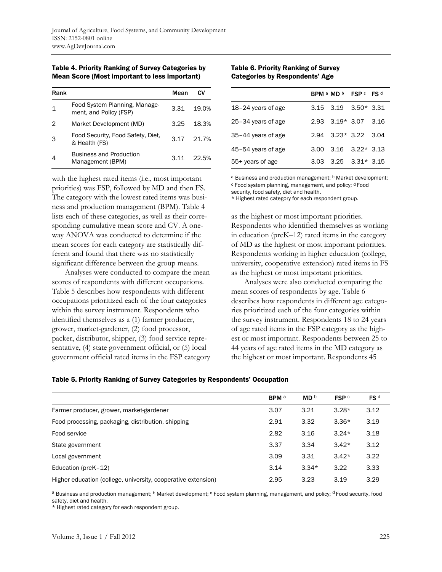Table 4. Priority Ranking of Survey Categories by Mean Score (Most important to less important)

| Rank |                                                         | Mean | СV    |
|------|---------------------------------------------------------|------|-------|
|      | Food System Planning, Manage-<br>ment, and Policy (FSP) | 3.31 | 19.0% |
| 2    | Market Development (MD)                                 | 3.25 | 18.3% |
| 3    | Food Security, Food Safety, Diet,<br>& Health (FS)      | 3.17 | 21.7% |
|      | <b>Business and Production</b><br>Management (BPM)      | 311  | 22.5% |

with the highest rated items (i.e., most important priorities) was FSP, followed by MD and then FS. The category with the lowest rated items was business and production management (BPM). Table 4 lists each of these categories, as well as their corresponding cumulative mean score and CV. A oneway ANOVA was conducted to determine if the mean scores for each category are statistically different and found that there was no statistically significant difference between the group means.

 Analyses were conducted to compare the mean scores of respondents with different occupations. Table 5 describes how respondents with different occupations prioritized each of the four categories within the survey instrument. Respondents who identified themselves as a (1) farmer producer, grower, market-gardener, (2) food processor, packer, distributor, shipper, (3) food service representative, (4) state government official, or (5) local government official rated items in the FSP category

#### Table 6. Priority Ranking of Survey Categories by Respondents' Age

|                      | BPM a MD b FSP c FS d        |  |
|----------------------|------------------------------|--|
| $18-24$ years of age | $3.15$ $3.19$ $3.50*$ $3.31$ |  |
| 25-34 years of age   | $2.93$ $3.19*$ $3.07$ $3.16$ |  |
| 35-44 years of age   | $2.94$ $3.23*$ $3.22$ $3.04$ |  |
| 45-54 years of age   | $3.00$ $3.16$ $3.22*$ $3.13$ |  |
| 55+ years of age     | $3.03$ $3.25$ $3.31*$ $3.15$ |  |

a Business and production management; **b** Market development;

c Food system planning, management, and policy; d Food

security, food safety, diet and health. \* Highest rated category for each respondent group.

as the highest or most important priorities. Respondents who identified themselves as working in education (preK–12) rated items in the category of MD as the highest or most important priorities. Respondents working in higher education (college, university, cooperative extension) rated items in FS as the highest or most important priorities.

 Analyses were also conducted comparing the mean scores of respondents by age. Table 6 describes how respondents in different age categories prioritized each of the four categories within the survey instrument. Respondents 18 to 24 years of age rated items in the FSP category as the highest or most important. Respondents between 25 to 44 years of age rated items in the MD category as the highest or most important. Respondents 45

|  | <b>Table 5. Priority Ranking of Survey Categories by Respondents' Occupation</b> |  |  |  |
|--|----------------------------------------------------------------------------------|--|--|--|
|--|----------------------------------------------------------------------------------|--|--|--|

|                                                               | <b>BPM</b> <sup>a</sup> | MD <sup>b</sup> | FSP c   | FS <sup>d</sup> |
|---------------------------------------------------------------|-------------------------|-----------------|---------|-----------------|
| Farmer producer, grower, market-gardener                      | 3.07                    | 3.21            | $3.28*$ | 3.12            |
| Food processing, packaging, distribution, shipping            | 2.91                    | 3.32            | $3.36*$ | 3.19            |
| Food service                                                  | 2.82                    | 3.16            | $3.24*$ | 3.18            |
| State government                                              | 3.37                    | 3.34            | $3.42*$ | 3.12            |
| Local government                                              | 3.09                    | 3.31            | $3.42*$ | 3.22            |
| Education (preK-12)                                           | 3.14                    | $3.34*$         | 3.22    | 3.33            |
| Higher education (college, university, cooperative extension) | 2.95                    | 3.23            | 3.19    | 3.29            |

a Business and production management; <sup>b</sup> Market development; <sup>c</sup> Food system planning, management, and policy; <sup>d</sup> Food security, food safety, diet and health.

\* Highest rated category for each respondent group.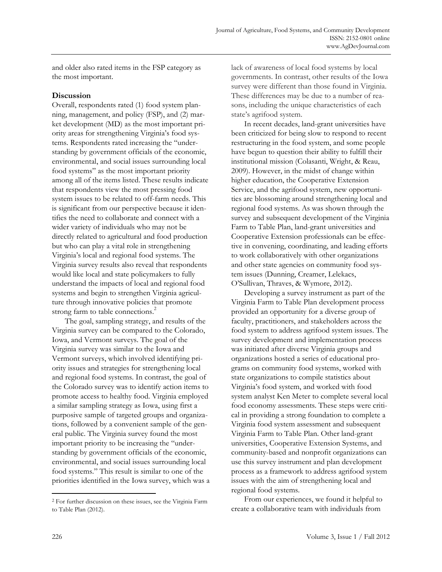and older also rated items in the FSP category as the most important.

#### **Discussion**

Overall, respondents rated (1) food system planning, management, and policy (FSP), and (2) market development (MD) as the most important priority areas for strengthening Virginia's food systems. Respondents rated increasing the "understanding by government officials of the economic, environmental, and social issues surrounding local food systems" as the most important priority among all of the items listed. These results indicate that respondents view the most pressing food system issues to be related to off-farm needs. This is significant from our perspective because it identifies the need to collaborate and connect with a wider variety of individuals who may not be directly related to agricultural and food production but who can play a vital role in strengthening Virginia's local and regional food systems. The Virginia survey results also reveal that respondents would like local and state policymakers to fully understand the impacts of local and regional food systems and begin to strengthen Virginia agriculture through innovative policies that promote strong farm to table connections.<sup>2</sup>

 The goal, sampling strategy, and results of the Virginia survey can be compared to the Colorado, Iowa, and Vermont surveys. The goal of the Virginia survey was similar to the Iowa and Vermont surveys, which involved identifying priority issues and strategies for strengthening local and regional food systems. In contrast, the goal of the Colorado survey was to identify action items to promote access to healthy food. Virginia employed a similar sampling strategy as Iowa, using first a purposive sample of targeted groups and organizations, followed by a convenient sample of the general public. The Virginia survey found the most important priority to be increasing the "understanding by government officials of the economic, environmental, and social issues surrounding local food systems." This result is similar to one of the priorities identified in the Iowa survey, which was a lack of awareness of local food systems by local governments. In contrast, other results of the Iowa survey were different than those found in Virginia. These differences may be due to a number of reasons, including the unique characteristics of each state's agrifood system.

 In recent decades, land-grant universities have been criticized for being slow to respond to recent restructuring in the food system, and some people have begun to question their ability to fulfill their institutional mission (Colasanti, Wright, & Reau, 2009). However, in the midst of change within higher education, the Cooperative Extension Service, and the agrifood system, new opportunities are blossoming around strengthening local and regional food systems. As was shown through the survey and subsequent development of the Virginia Farm to Table Plan, land-grant universities and Cooperative Extension professionals can be effective in convening, coordinating, and leading efforts to work collaboratively with other organizations and other state agencies on community food system issues (Dunning, Creamer, Lelekacs, O'Sullivan, Thraves, & Wymore, 2012).

 Developing a survey instrument as part of the Virginia Farm to Table Plan development process provided an opportunity for a diverse group of faculty, practitioners, and stakeholders across the food system to address agrifood system issues. The survey development and implementation process was initiated after diverse Virginia groups and organizations hosted a series of educational programs on community food systems, worked with state organizations to compile statistics about Virginia's food system, and worked with food system analyst Ken Meter to complete several local food economy assessments. These steps were critical in providing a strong foundation to complete a Virginia food system assessment and subsequent Virginia Farm to Table Plan. Other land-grant universities, Cooperative Extension Systems, and community-based and nonprofit organizations can use this survey instrument and plan development process as a framework to address agrifood system issues with the aim of strengthening local and regional food systems.

 From our experiences, we found it helpful to create a collaborative team with individuals from

**.** 

<sup>2</sup> For further discussion on these issues, see the Virginia Farm to Table Plan (2012).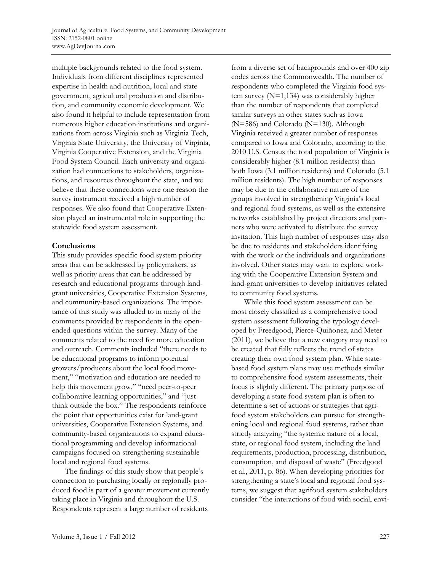multiple backgrounds related to the food system. Individuals from different disciplines represented expertise in health and nutrition, local and state government, agricultural production and distribution, and community economic development. We also found it helpful to include representation from numerous higher education institutions and organizations from across Virginia such as Virginia Tech, Virginia State University, the University of Virginia, Virginia Cooperative Extension, and the Virginia Food System Council. Each university and organization had connections to stakeholders, organizations, and resources throughout the state, and we believe that these connections were one reason the survey instrument received a high number of responses. We also found that Cooperative Extension played an instrumental role in supporting the statewide food system assessment.

#### **Conclusions**

This study provides specific food system priority areas that can be addressed by policymakers, as well as priority areas that can be addressed by research and educational programs through landgrant universities, Cooperative Extension Systems, and community-based organizations. The importance of this study was alluded to in many of the comments provided by respondents in the openended questions within the survey. Many of the comments related to the need for more education and outreach. Comments included "there needs to be educational programs to inform potential growers/producers about the local food movement," "motivation and education are needed to help this movement grow," "need peer-to-peer collaborative learning opportunities," and "just think outside the box." The respondents reinforce the point that opportunities exist for land-grant universities, Cooperative Extension Systems, and community-based organizations to expand educational programming and develop informational campaigns focused on strengthening sustainable local and regional food systems.

 The findings of this study show that people's connection to purchasing locally or regionally produced food is part of a greater movement currently taking place in Virginia and throughout the U.S. Respondents represent a large number of residents

from a diverse set of backgrounds and over 400 zip codes across the Commonwealth. The number of respondents who completed the Virginia food system survey (N=1,134) was considerably higher than the number of respondents that completed similar surveys in other states such as Iowa (N=586) and Colorado (N=130). Although Virginia received a greater number of responses compared to Iowa and Colorado, according to the 2010 U.S. Census the total population of Virginia is considerably higher (8.1 million residents) than both Iowa (3.1 million residents) and Colorado (5.1 million residents). The high number of responses may be due to the collaborative nature of the groups involved in strengthening Virginia's local and regional food systems, as well as the extensive networks established by project directors and partners who were activated to distribute the survey invitation. This high number of responses may also be due to residents and stakeholders identifying with the work or the individuals and organizations involved. Other states may want to explore working with the Cooperative Extension System and land-grant universities to develop initiatives related to community food systems.

 While this food system assessment can be most closely classified as a comprehensive food system assessment following the typology developed by Freedgood, Pierce-Quiñonez, and Meter (2011), we believe that a new category may need to be created that fully reflects the trend of states creating their own food system plan. While statebased food system plans may use methods similar to comprehensive food system assessments, their focus is slightly different. The primary purpose of developing a state food system plan is often to determine a set of actions or strategies that agrifood system stakeholders can pursue for strengthening local and regional food systems, rather than strictly analyzing "the systemic nature of a local, state, or regional food system, including the land requirements, production, processing, distribution, consumption, and disposal of waste" (Freedgood et al., 2011, p. 86). When developing priorities for strengthening a state's local and regional food systems, we suggest that agrifood system stakeholders consider "the interactions of food with social, envi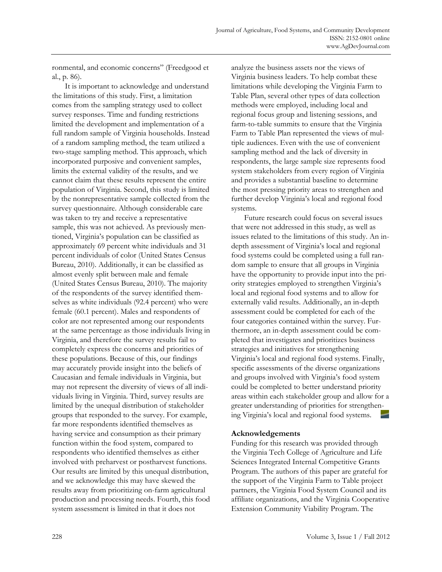ronmental, and economic concerns" (Freedgood et al., p. 86).

 It is important to acknowledge and understand the limitations of this study. First, a limitation comes from the sampling strategy used to collect survey responses. Time and funding restrictions limited the development and implementation of a full random sample of Virginia households. Instead of a random sampling method, the team utilized a two-stage sampling method. This approach, which incorporated purposive and convenient samples, limits the external validity of the results, and we cannot claim that these results represent the entire population of Virginia. Second, this study is limited by the nonrepresentative sample collected from the survey questionnaire. Although considerable care was taken to try and receive a representative sample, this was not achieved. As previously mentioned, Virginia's population can be classified as approximately 69 percent white individuals and 31 percent individuals of color (United States Census Bureau, 2010). Additionally, it can be classified as almost evenly split between male and female (United States Census Bureau, 2010). The majority of the respondents of the survey identified themselves as white individuals (92.4 percent) who were female (60.1 percent). Males and respondents of color are not represented among our respondents at the same percentage as those individuals living in Virginia, and therefore the survey results fail to completely express the concerns and priorities of these populations. Because of this, our findings may accurately provide insight into the beliefs of Caucasian and female individuals in Virginia, but may not represent the diversity of views of all individuals living in Virginia. Third, survey results are limited by the unequal distribution of stakeholder groups that responded to the survey. For example, far more respondents identified themselves as having service and consumption as their primary function within the food system, compared to respondents who identified themselves as either involved with preharvest or postharvest functions. Our results are limited by this unequal distribution, and we acknowledge this may have skewed the results away from prioritizing on-farm agricultural production and processing needs. Fourth, this food system assessment is limited in that it does not

analyze the business assets nor the views of Virginia business leaders. To help combat these limitations while developing the Virginia Farm to Table Plan, several other types of data collection methods were employed, including local and regional focus group and listening sessions, and farm-to-table summits to ensure that the Virginia Farm to Table Plan represented the views of multiple audiences. Even with the use of convenient sampling method and the lack of diversity in respondents, the large sample size represents food system stakeholders from every region of Virginia and provides a substantial baseline to determine the most pressing priority areas to strengthen and further develop Virginia's local and regional food systems.

 Future research could focus on several issues that were not addressed in this study, as well as issues related to the limitations of this study. An indepth assessment of Virginia's local and regional food systems could be completed using a full random sample to ensure that all groups in Virginia have the opportunity to provide input into the priority strategies employed to strengthen Virginia's local and regional food systems and to allow for externally valid results. Additionally, an in-depth assessment could be completed for each of the four categories contained within the survey. Furthermore, an in-depth assessment could be completed that investigates and prioritizes business strategies and initiatives for strengthening Virginia's local and regional food systems. Finally, specific assessments of the diverse organizations and groups involved with Virginia's food system could be completed to better understand priority areas within each stakeholder group and allow for a greater understanding of priorities for strengthening Virginia's local and regional food systems.

### **Acknowledgements**

Funding for this research was provided through the Virginia Tech College of Agriculture and Life Sciences Integrated Internal Competitive Grants Program. The authors of this paper are grateful for the support of the Virginia Farm to Table project partners, the Virginia Food System Council and its affiliate organizations, and the Virginia Cooperative Extension Community Viability Program. The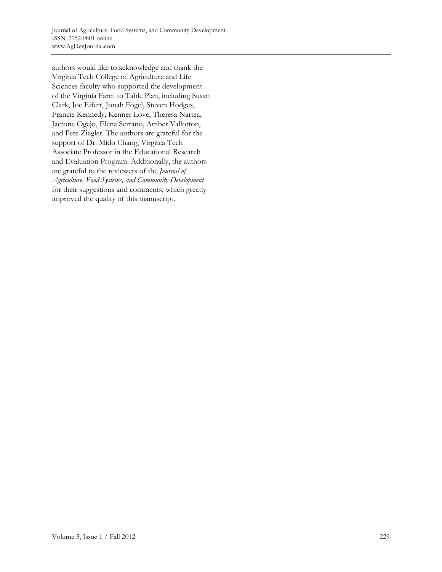authors would like to acknowledge and thank the Virginia Tech College of Agriculture and Life Sciences faculty who supported the development of the Virginia Farm to Table Plan, including Susan Clark, Joe Eifert, Jonah Fogel, Steven Hodges, Francie Kennedy, Kenner Love, Theresa Nartea, Jactone Ogejo, Elena Serrano, Amber Vallotton, and Pete Ziegler. The authors are grateful for the support of Dr. Mido Chang, Virginia Tech Associate Professor in the Educational Research and Evaluation Program. Additionally, the authors are grateful to the reviewers of the *Journal of Agriculture, Food Systems, and Community Development* for their suggestions and comments, which greatly improved the quality of this manuscript.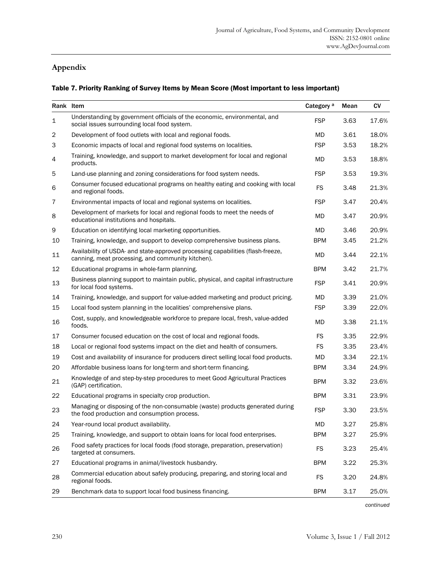# **Appendix**

#### Table 7. Priority Ranking of Survey Items by Mean Score (Most important to less important)

| Rank Item      |                                                                                                                                      | Category <sup>a</sup> | Mean | CV    |
|----------------|--------------------------------------------------------------------------------------------------------------------------------------|-----------------------|------|-------|
| $\mathbf 1$    | Understanding by government officials of the economic, environmental, and<br>social issues surrounding local food system.            | <b>FSP</b>            | 3.63 | 17.6% |
| $\overline{c}$ | Development of food outlets with local and regional foods.                                                                           | MD                    | 3.61 | 18.0% |
| 3              | Economic impacts of local and regional food systems on localities.                                                                   | <b>FSP</b>            | 3.53 | 18.2% |
| 4              | Training, knowledge, and support to market development for local and regional<br>products.                                           | <b>MD</b>             | 3.53 | 18.8% |
| 5              | Land-use planning and zoning considerations for food system needs.                                                                   | <b>FSP</b>            | 3.53 | 19.3% |
| 6              | Consumer focused educational programs on healthy eating and cooking with local<br>and regional foods.                                | <b>FS</b>             | 3.48 | 21.3% |
| 7              | Environmental impacts of local and regional systems on localities.                                                                   | <b>FSP</b>            | 3.47 | 20.4% |
| 8              | Development of markets for local and regional foods to meet the needs of<br>educational institutions and hospitals.                  | <b>MD</b>             | 3.47 | 20.9% |
| 9              | Education on identifying local marketing opportunities.                                                                              | <b>MD</b>             | 3.46 | 20.9% |
| 10             | Training, knowledge, and support to develop comprehensive business plans.                                                            | <b>BPM</b>            | 3.45 | 21.2% |
| 11             | Availability of USDA- and state-approved processing capabilities (flash-freeze,<br>canning, meat processing, and community kitchen). | MD                    | 3.44 | 22.1% |
| 12             | Educational programs in whole-farm planning.                                                                                         | <b>BPM</b>            | 3.42 | 21.7% |
| 13             | Business planning support to maintain public, physical, and capital infrastructure<br>for local food systems.                        | <b>FSP</b>            | 3.41 | 20.9% |
| 14             | Training, knowledge, and support for value-added marketing and product pricing.                                                      | <b>MD</b>             | 3.39 | 21.0% |
| 15             | Local food system planning in the localities' comprehensive plans.                                                                   | <b>FSP</b>            | 3.39 | 22.0% |
| 16             | Cost, supply, and knowledgeable workforce to prepare local, fresh, value-added<br>foods.                                             | MD                    | 3.38 | 21.1% |
| 17             | Consumer focused education on the cost of local and regional foods.                                                                  | <b>FS</b>             | 3.35 | 22.9% |
| 18             | Local or regional food systems impact on the diet and health of consumers.                                                           | FS                    | 3.35 | 23.4% |
| 19             | Cost and availability of insurance for producers direct selling local food products.                                                 | MD                    | 3.34 | 22.1% |
| 20             | Affordable business loans for long-term and short-term financing.                                                                    | <b>BPM</b>            | 3.34 | 24.9% |
| 21             | Knowledge of and step-by-step procedures to meet Good Agricultural Practices<br>(GAP) certification.                                 | <b>BPM</b>            | 3.32 | 23.6% |
| 22             | Educational programs in specialty crop production.                                                                                   | <b>BPM</b>            | 3.31 | 23.9% |
| 23             | Managing or disposing of the non-consumable (waste) products generated during<br>the food production and consumption process.        | <b>FSP</b>            | 3.30 | 23.5% |
| 24             | Year-round local product availability.                                                                                               | <b>MD</b>             | 3.27 | 25.8% |
| 25             | Training, knowledge, and support to obtain loans for local food enterprises.                                                         | <b>BPM</b>            | 3.27 | 25.9% |
| 26             | Food safety practices for local foods (food storage, preparation, preservation)<br>targeted at consumers.                            | <b>FS</b>             | 3.23 | 25.4% |
| 27             | Educational programs in animal/livestock husbandry.                                                                                  | <b>BPM</b>            | 3.22 | 25.3% |
| 28             | Commercial education about safely producing, preparing, and storing local and<br>regional foods.                                     | <b>FS</b>             | 3.20 | 24.8% |
| 29             | Benchmark data to support local food business financing.                                                                             | <b>BPM</b>            | 3.17 | 25.0% |

*continued*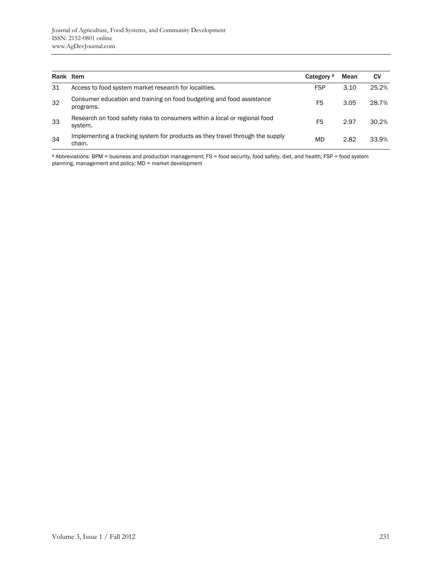| Rank Item |                                                                                         | Category <sup>a</sup> | Mean | <b>CV</b> |
|-----------|-----------------------------------------------------------------------------------------|-----------------------|------|-----------|
| 31        | Access to food system market research for localities.                                   | <b>FSP</b>            | 3.10 | 25.2%     |
| 32        | Consumer education and training on food budgeting and food assistance<br>programs.      | FS                    | 3.05 | 28.7%     |
| 33        | Research on food safety risks to consumers within a local or regional food<br>system.   | FS                    | 2.97 | 30.2%     |
| 34        | Implementing a tracking system for products as they travel through the supply<br>chain. | MD                    | 2.82 | 33.9%     |

a Abbreviations: BPM = business and production management; FS = food security, food safety, diet, and health; FSP = food system planning, management and policy; MD = market development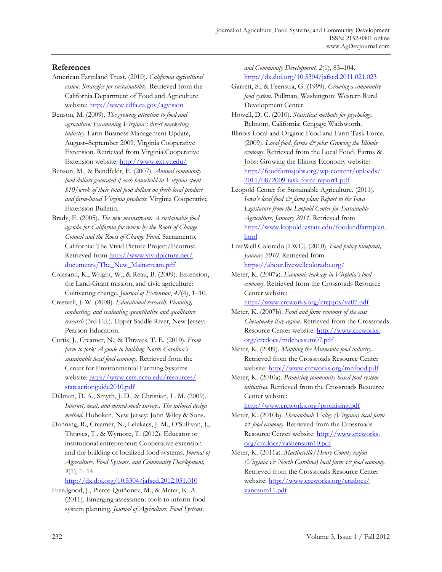#### **References**

- American Farmland Trust. (2010). *California agricultural vision: Strategies for sustainability*. Retrieved from the California Department of Food and Agriculture website: http://www.cdfa.ca.gov/agvision
- Benson, M. (2009). *The growing attention to food and agriculture: Examining Virginia's direct marketing industry*. Farm Business Management Update, August–September 2009, Virginia Cooperative Extension. Retrieved from Virginia Cooperative Extension website: http://www.ext.vt.edu/
- Benson, M., & Bendfeldt, E. (2007). *Annual community food dollars generated if each household in Virginia spent \$10/week of their total food dollars on fresh local produce and farm-based Virginia products*. Virginia Cooperative Extension Bulletin.
- Brady, E. (2005). *The new mainstream: A sustainable food agenda for California for review by the Roots of Change Council and the Roots of Change Fund*. Sacramento, California: The Vivid Picture Project/Ecotrust. [Retrieved from http://www.vividpicture.net/](http://www.vividpicture.net/documents/The_New_Mainstream.pdf) documents/The\_New\_Mainstream.pdf
- Colasanti, K., Wright, W., & Reau, B. (2009). Extension, the Land-Grant mission, and civic agriculture: Cultivating change. *Journal of Extension*, *47*(4), 1–10.
- Creswell, J. W. (2008). *Educational research: Planning, conducting, and evaluating quantitative and qualitative research* (3rd Ed.). Upper Saddle River, New Jersey: Pearson Education.
- Curtis, J., Creamer, N., & Thraves, T. E. (2010). *From farm to fork: A guide to building North Carolina's sustainable local food economy*. Retrieved from the Center for Environmental Farming Systems [website: http://www.cefs.ncsu.edu/resources/](http://www.cefs.ncsu.edu/resources/stateactionguide2010.pdf) stateactionguide2010.pdf
- Dillman, D. A., Smyth, J. D., & Christian, L. M. (2009). *Internet, mail, and mixed-mode surveys: The tailored design method*. Hoboken, New Jersey: John Wiley & Sons.
- Dunning, R., Creamer, N., Lelekacs, J. M., O'Sullivan, J., Thraves, T., & Wymore, T. (2012). Educator or institutional entrepreneur: Cooperative extension and the building of localized food systems. *Journal of Agriculture, Food Systems, and Community Development, 3*(1), 1–14.

http://dx.doi.org/10.5304/jafscd.2012.031.010

Freedgood, J., Pierce-Quiñonez, M., & Meter, K. A. (2011). Emerging assessment tools to inform food system planning. *Journal of Agriculture, Food Systems,* 

*and Community Development, 2*(1), 83–104. http://dx.doi.org/10.5304/jafscd.2011.021.023

- Garrett, S., & Feenstra, G. (1999). *Growing a community food system.* Pullman, Washington: Western Rural Development Center.
- Howell, D. C. (2010). *Statistical methods for psychology*. Belmont, California: Cengage Wadsworth.
- Illinois Local and Organic Food and Farm Task Force. (2009). *Local food, farms & jobs: Growing the Illinois economy*. Retrieved from the Local Food, Farms & Jobs: Growing the Illinois Economy website: [http://foodfarmsjobs.org/wp-content/uploads/](http://foodfarmsjobs.org/wp-content/uploads/2011/08/2009-task-force-report1.pdf)  2011/08/2009-task-force-report1.pdf
- Leopold Center for Sustainable Agriculture. (2011). *Iowa's local food & farm plan: Report to the Iowa Legislature from the Leopold Center for Sustainable Agriculture, January 2011*. Retrieved from [http://www.leopold.iastate.edu/foodandfarmplan.](http://www.leopold.iastate.edu/foodandfarmplan.html) html
- LiveWell Colorado [LWC]. (2010). *Food policy blueprint, January 2010.* Retrieved from https://about.livewellcolorado.org/
- Meter, K. (2007a). *Economic leakage in Virginia's food economy*. Retrieved from the Crossroads Resource Center website:

http://www.crcworks.org/crcppts/va07.pdf

- Meter, K. (2007b). *Food and farm economy of the east Chesapeake Bay region*. Retrieved from the Crossroads [Resource Center website: http://www.crcworks.](http://www.crcworks.org/crcdocs/mdchessum07.pdf)  org/crcdocs/mdchessum07.pdf
- Meter, K. (2009). *Mapping the Minnesota food industry*. Retrieved from the Crossroads Resource Center website: http://www.crcworks.org/mnfood.pdf
- Meter, K. (2010a). *Promising community-based food system initiatives*. Retrieved from the Crossroads Resource Center website:

http://www.crcworks.org/promising.pdf

- Meter, K. (2010b). *Shenandoah Valley (Virginia) local farm & food economy*. Retrieved from the Crossroads [Resource Center website: http://www.crcworks.](http://www.crcworks.org/crcdocs/vashensum10.pdf)  org/crcdocs/vashensum10.pdf
- Meter, K. (2011a). *Martinsville/Henry County region (Virginia & North Carolina) local farm & food economy*. Retrieved from the Crossroads Resource Center [website: http://www.crcworks.org/crcdocs/](http://www.crcworks.org/crcdocs/vancsum11.pdf) vancsum11.pdf